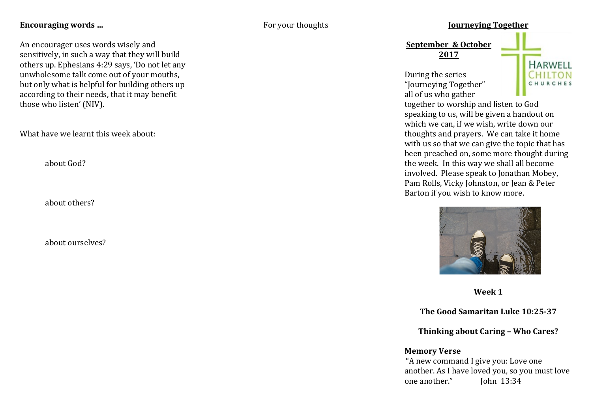## Encouraging words ...

An encourager uses words wisely and sensitively, in such a way that they will build others up. Ephesians 4:29 says, 'Do not let any unwholesome talk come out of your mouths, but only what is helpful for building others up according to their needs, that it may benefit those who listen' (NIV).

What have we learnt this week about:

about God?

about others?

about ourselves?

## For your thoughts **Journeying Together**

**September & October 2017**

During the series "Journeying Together" all of us who gather



together to worship and listen to God speaking to us, will be given a handout on which we can, if we wish, write down our thoughts and prayers. We can take it home with us so that we can give the topic that has been preached on, some more thought during the week. In this way we shall all become involved. Please speak to Jonathan Mobey, Pam Rolls, Vicky Johnston, or Jean & Peter Barton if you wish to know more.



**Week 1**

**The Good Samaritan Luke 10:25-37** 

**Thinking about Caring - Who Cares?** 

## **Memory Verse**

"A new command I give you: Love one another. As I have loved you, so you must love one another." Iohn 13:34